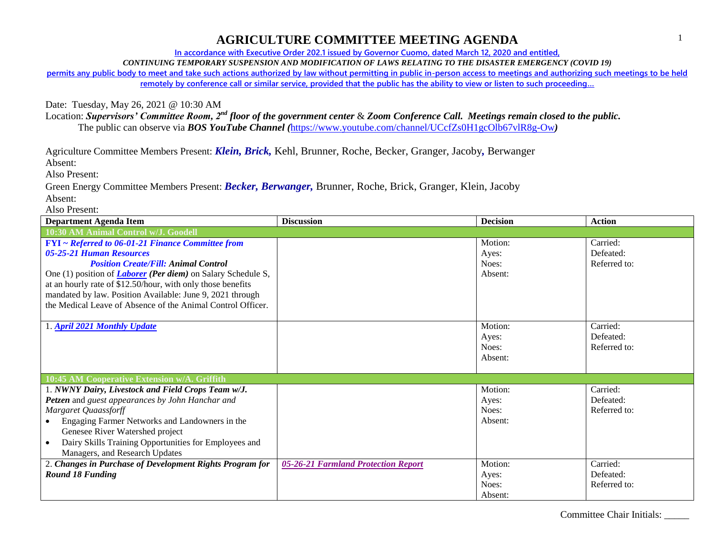**In accordance with Executive Order 202.1 issued by Governor Cuomo, dated March 12, 2020 and entitled,**

*CONTINUING TEMPORARY SUSPENSION AND MODIFICATION OF LAWS RELATING TO THE DISASTER EMERGENCY (COVID 19)*

**permits any public body to meet and take such actions authorized by law without permitting in public in-person access to meetings and authorizing such meetings to be held remotely by conference call or similar service, provided that the public has the ability to view or listen to such proceeding…**

Date: Tuesday, May 26, 2021 @ 10:30 AM

Location: *Supervisors' Committee Room, 2nd floor of the government center* & *Zoom Conference Call. Meetings remain closed to the public.* The public can observe via *BOS YouTube Channel (*<https://www.youtube.com/channel/UCcfZs0H1gcOlb67vlR8g-Ow>*)*

Agriculture Committee Members Present: *Klein, Brick,* Kehl, Brunner, Roche, Becker, Granger, Jacoby*,* Berwanger

Absent:

Also Present:

Green Energy Committee Members Present: *Becker, Berwanger,* Brunner, Roche, Brick, Granger, Klein, Jacoby Absent:

Also Present:

| <b>Department Agenda Item</b>                                                                                                                                                                                                                                                                                                                                                                                  | <b>Discussion</b>                   | <b>Decision</b>                      | <b>Action</b>                         |
|----------------------------------------------------------------------------------------------------------------------------------------------------------------------------------------------------------------------------------------------------------------------------------------------------------------------------------------------------------------------------------------------------------------|-------------------------------------|--------------------------------------|---------------------------------------|
| 10:30 AM Animal Control w/J. Goodell                                                                                                                                                                                                                                                                                                                                                                           |                                     |                                      |                                       |
| <b>FYI</b> ~ Referred to 06-01-21 Finance Committee from<br>05-25-21 Human Resources<br><b>Position Create/Fill: Animal Control</b><br>One (1) position of <i>Laborer</i> ( <i>Per diem</i> ) on Salary Schedule S,<br>at an hourly rate of \$12.50/hour, with only those benefits<br>mandated by law. Position Available: June 9, 2021 through<br>the Medical Leave of Absence of the Animal Control Officer. |                                     | Motion:<br>Ayes:<br>Noes:<br>Absent: | Carried:<br>Defeated:<br>Referred to: |
| 1. April 2021 Monthly Update                                                                                                                                                                                                                                                                                                                                                                                   |                                     | Motion:<br>Ayes:<br>Noes:<br>Absent: | Carried:<br>Defeated:<br>Referred to: |
| 10:45 AM Cooperative Extension w/A. Griffith                                                                                                                                                                                                                                                                                                                                                                   |                                     |                                      |                                       |
| 1. NWNY Dairy, Livestock and Field Crops Team w/J.<br>Petzen and guest appearances by John Hanchar and<br>Margaret Quaassforff<br>Engaging Farmer Networks and Landowners in the<br>Genesee River Watershed project<br>Dairy Skills Training Opportunities for Employees and<br>Managers, and Research Updates                                                                                                 |                                     | Motion:<br>Ayes:<br>Noes:<br>Absent: | Carried:<br>Defeated:<br>Referred to: |
| 2. Changes in Purchase of Development Rights Program for                                                                                                                                                                                                                                                                                                                                                       | 05-26-21 Farmland Protection Report | Motion:                              | Carried:                              |
| <b>Round 18 Funding</b>                                                                                                                                                                                                                                                                                                                                                                                        |                                     | Ayes:<br>Noes:<br>Absent:            | Defeated:<br>Referred to:             |

Committee Chair Initials: \_\_\_\_\_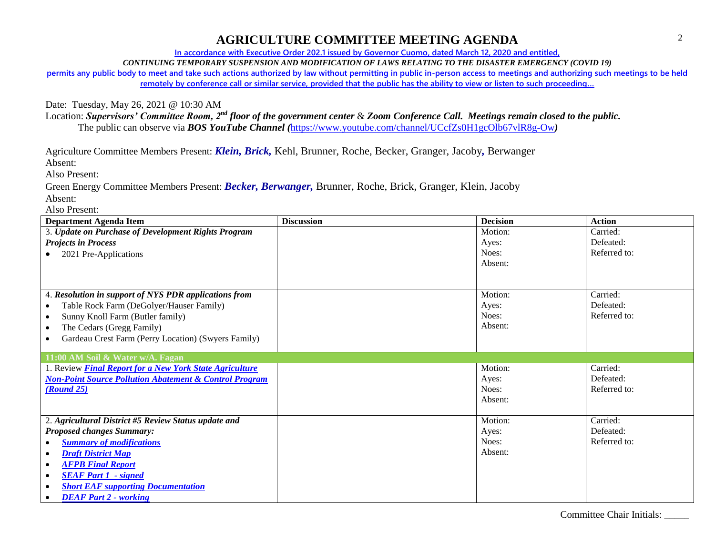**In accordance with Executive Order 202.1 issued by Governor Cuomo, dated March 12, 2020 and entitled,**

*CONTINUING TEMPORARY SUSPENSION AND MODIFICATION OF LAWS RELATING TO THE DISASTER EMERGENCY (COVID 19)*

**permits any public body to meet and take such actions authorized by law without permitting in public in-person access to meetings and authorizing such meetings to be held remotely by conference call or similar service, provided that the public has the ability to view or listen to such proceeding…**

Date: Tuesday, May 26, 2021 @ 10:30 AM

Location: *Supervisors' Committee Room, 2nd floor of the government center* & *Zoom Conference Call. Meetings remain closed to the public.* The public can observe via *BOS YouTube Channel (*<https://www.youtube.com/channel/UCcfZs0H1gcOlb67vlR8g-Ow>*)*

Agriculture Committee Members Present: *Klein, Brick,* Kehl, Brunner, Roche, Becker, Granger, Jacoby*,* Berwanger

Absent:

Also Present:

Green Energy Committee Members Present: *Becker, Berwanger,* Brunner, Roche, Brick, Granger, Klein, Jacoby Absent:

Also Present:

| <b>Department Agenda Item</b>                                     | <b>Discussion</b> | <b>Decision</b> | <b>Action</b> |
|-------------------------------------------------------------------|-------------------|-----------------|---------------|
| 3. Update on Purchase of Development Rights Program               |                   | Motion:         | Carried:      |
| <b>Projects in Process</b>                                        |                   | Ayes:           | Defeated:     |
| 2021 Pre-Applications                                             |                   | Noes:           | Referred to:  |
|                                                                   |                   | Absent:         |               |
|                                                                   |                   |                 |               |
|                                                                   |                   | Motion:         | Carried:      |
| 4. Resolution in support of NYS PDR applications from             |                   |                 |               |
| Table Rock Farm (DeGolyer/Hauser Family)                          |                   | Ayes:           | Defeated:     |
| Sunny Knoll Farm (Butler family)<br>$\bullet$                     |                   | Noes:           | Referred to:  |
| The Cedars (Gregg Family)<br>$\bullet$                            |                   | Absent:         |               |
| Gardeau Crest Farm (Perry Location) (Swyers Family)               |                   |                 |               |
| 11:00 AM Soil & Water w/A. Fagan                                  |                   |                 |               |
| 1. Review <b>Final Report for a New York State Agriculture</b>    |                   | Motion:         | Carried:      |
| <b>Non-Point Source Pollution Abatement &amp; Control Program</b> |                   | Ayes:           | Defeated:     |
| <b>(Round 25)</b>                                                 |                   | Noes:           | Referred to:  |
|                                                                   |                   | Absent:         |               |
|                                                                   |                   |                 |               |
| 2. Agricultural District #5 Review Status update and              |                   | Motion:         | Carried:      |
| <b>Proposed changes Summary:</b>                                  |                   | Ayes:           | Defeated:     |
| <b>Summary of modifications</b>                                   |                   | Noes:           | Referred to:  |
| <b>Draft District Map</b><br>$\bullet$                            |                   | Absent:         |               |
| <b>AFPB Final Report</b><br>$\bullet$                             |                   |                 |               |
| <b>SEAF Part 1 - signed</b><br>$\bullet$                          |                   |                 |               |
| <b>Short EAF supporting Documentation</b><br>$\bullet$            |                   |                 |               |
| <b>DEAF Part 2 - working</b>                                      |                   |                 |               |

Committee Chair Initials: \_\_\_\_\_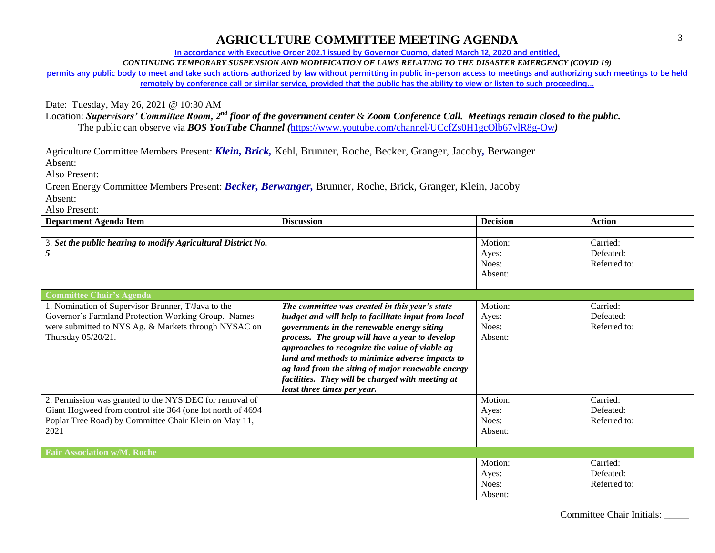**In accordance with Executive Order 202.1 issued by Governor Cuomo, dated March 12, 2020 and entitled,**

*CONTINUING TEMPORARY SUSPENSION AND MODIFICATION OF LAWS RELATING TO THE DISASTER EMERGENCY (COVID 19)*

**permits any public body to meet and take such actions authorized by law without permitting in public in-person access to meetings and authorizing such meetings to be held remotely by conference call or similar service, provided that the public has the ability to view or listen to such proceeding…**

Date: Tuesday, May 26, 2021 @ 10:30 AM

Location: *Supervisors' Committee Room, 2nd floor of the government center* & *Zoom Conference Call. Meetings remain closed to the public.* The public can observe via *BOS YouTube Channel (*<https://www.youtube.com/channel/UCcfZs0H1gcOlb67vlR8g-Ow>*)*

Agriculture Committee Members Present: *Klein, Brick,* Kehl, Brunner, Roche, Becker, Granger, Jacoby*,* Berwanger

Absent:

Also Present:

Green Energy Committee Members Present: *Becker, Berwanger,* Brunner, Roche, Brick, Granger, Klein, Jacoby Absent:

Also Present:

| <b>Department Agenda Item</b>                                                                                                                                                           | <b>Discussion</b>                                                                                                                                                                                                                                                                                                                                                                                                                                  | <b>Decision</b>                      | <b>Action</b>                         |  |
|-----------------------------------------------------------------------------------------------------------------------------------------------------------------------------------------|----------------------------------------------------------------------------------------------------------------------------------------------------------------------------------------------------------------------------------------------------------------------------------------------------------------------------------------------------------------------------------------------------------------------------------------------------|--------------------------------------|---------------------------------------|--|
|                                                                                                                                                                                         |                                                                                                                                                                                                                                                                                                                                                                                                                                                    |                                      |                                       |  |
| 3. Set the public hearing to modify Agricultural District No.<br>5                                                                                                                      |                                                                                                                                                                                                                                                                                                                                                                                                                                                    | Motion:<br>Ayes:<br>Noes:<br>Absent: | Carried:<br>Defeated:<br>Referred to: |  |
| <b>Committee Chair's Agenda</b>                                                                                                                                                         |                                                                                                                                                                                                                                                                                                                                                                                                                                                    |                                      |                                       |  |
| 1. Nomination of Supervisor Brunner, T/Java to the<br>Governor's Farmland Protection Working Group. Names<br>were submitted to NYS Ag. & Markets through NYSAC on<br>Thursday 05/20/21. | The committee was created in this year's state<br>budget and will help to facilitate input from local<br>governments in the renewable energy siting<br>process. The group will have a year to develop<br>approaches to recognize the value of viable ag<br>land and methods to minimize adverse impacts to<br>ag land from the siting of major renewable energy<br>facilities. They will be charged with meeting at<br>least three times per year. | Motion:<br>Ayes:<br>Noes:<br>Absent: | Carried:<br>Defeated:<br>Referred to: |  |
| 2. Permission was granted to the NYS DEC for removal of<br>Giant Hogweed from control site 364 (one lot north of 4694<br>Poplar Tree Road) by Committee Chair Klein on May 11,<br>2021  |                                                                                                                                                                                                                                                                                                                                                                                                                                                    | Motion:<br>Ayes:<br>Noes:<br>Absent: | Carried:<br>Defeated:<br>Referred to: |  |
| <b>Fair Association w/M. Roche</b>                                                                                                                                                      |                                                                                                                                                                                                                                                                                                                                                                                                                                                    |                                      |                                       |  |
|                                                                                                                                                                                         |                                                                                                                                                                                                                                                                                                                                                                                                                                                    | Motion:<br>Ayes:<br>Noes:<br>Absent: | Carried:<br>Defeated:<br>Referred to: |  |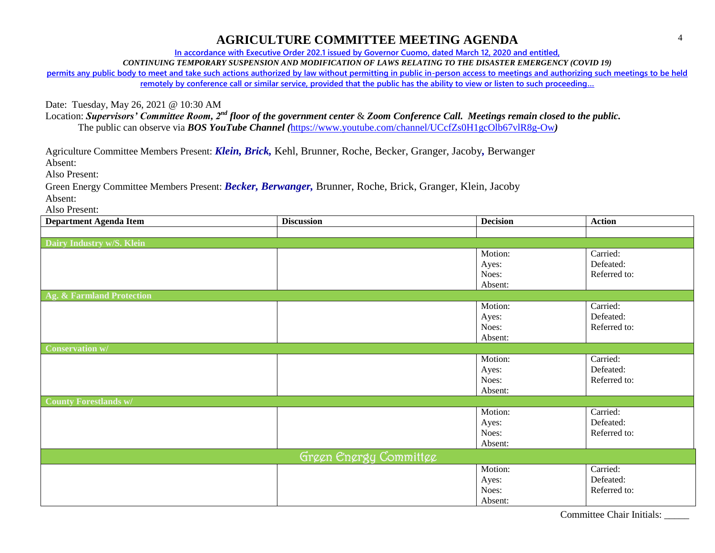**In accordance with Executive Order 202.1 issued by Governor Cuomo, dated March 12, 2020 and entitled,**

*CONTINUING TEMPORARY SUSPENSION AND MODIFICATION OF LAWS RELATING TO THE DISASTER EMERGENCY (COVID 19)*

**permits any public body to meet and take such actions authorized by law without permitting in public in-person access to meetings and authorizing such meetings to be held remotely by conference call or similar service, provided that the public has the ability to view or listen to such proceeding…**

Date: Tuesday, May 26, 2021 @ 10:30 AM

Location: *Supervisors' Committee Room, 2nd floor of the government center* & *Zoom Conference Call. Meetings remain closed to the public.* The public can observe via *BOS YouTube Channel (*<https://www.youtube.com/channel/UCcfZs0H1gcOlb67vlR8g-Ow>*)*

Agriculture Committee Members Present: *Klein, Brick,* Kehl, Brunner, Roche, Becker, Granger, Jacoby*,* Berwanger

Absent:

Also Present:

Green Energy Committee Members Present: *Becker, Berwanger,* Brunner, Roche, Brick, Granger, Klein, Jacoby Absent:

Also Present:

| <b>Department Agenda Item</b> | <b>Discussion</b> | <b>Decision</b> | <b>Action</b> |
|-------------------------------|-------------------|-----------------|---------------|
|                               |                   |                 |               |
| Dairy Industry w/S. Klein     |                   |                 |               |
|                               |                   | Motion:         | Carried:      |
|                               |                   | Ayes:           | Defeated:     |
|                               |                   | Noes:           | Referred to:  |
|                               |                   | Absent:         |               |
| Ag. & Farmland Protection     |                   |                 |               |
|                               |                   | Motion:         | Carried:      |
|                               |                   | Ayes:           | Defeated:     |
|                               |                   | Noes:           | Referred to:  |
|                               |                   | Absent:         |               |
| <b>Conservation w/</b>        |                   |                 |               |
|                               |                   | Motion:         | Carried:      |
|                               |                   | Ayes:           | Defeated:     |
|                               |                   | Noes:           | Referred to:  |
|                               |                   | Absent:         |               |
| <b>County Forestlands w/</b>  |                   |                 |               |
|                               |                   | Motion:         | Carried:      |
|                               |                   | Ayes:           | Defeated:     |
|                               |                   | Noes:           | Referred to:  |
|                               |                   | Absent:         |               |
| Green Energy Committee        |                   |                 |               |
|                               |                   | Motion:         | Carried:      |
|                               |                   | Ayes:           | Defeated:     |
|                               |                   | Noes:           | Referred to:  |
|                               |                   | Absent:         |               |

Committee Chair Initials: \_\_\_\_\_